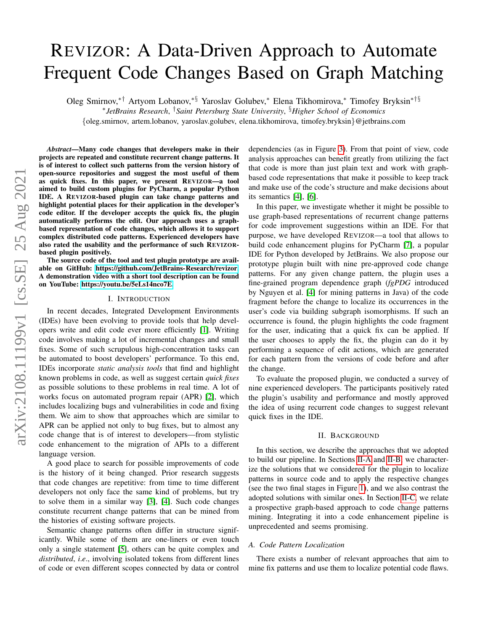# REVIZOR: A Data-Driven Approach to Automate Frequent Code Changes Based on Graph Matching

Oleg Smirnov,∗† Artyom Lobanov,∗§ Yaroslav Golubev,<sup>∗</sup> Elena Tikhomirova,<sup>∗</sup> Timofey Bryksin∗†§

∗ *JetBrains Research*, †*Saint Petersburg State University*, §*Higher School of Economics*

{oleg.smirnov, artem.lobanov, yaroslav.golubev, elena.tikhomirova, timofey.bryksin}@jetbrains.com

*Abstract*—Many code changes that developers make in their projects are repeated and constitute recurrent change patterns. It is of interest to collect such patterns from the version history of open-source repositories and suggest the most useful of them as quick fixes. In this paper, we present REVIZOR—a tool aimed to build custom plugins for PyCharm, a popular Python IDE. A REVIZOR-based plugin can take change patterns and highlight potential places for their application in the developer's code editor. If the developer accepts the quick fix, the plugin automatically performs the edit. Our approach uses a graphbased representation of code changes, which allows it to support complex distributed code patterns. Experienced developers have also rated the usability and the performance of such REVIZORbased plugin positively.

The source code of the tool and test plugin prototype are available on GitHub: [https://github.com/JetBrains-Research/revizor.](https://github.com/JetBrains-Research/revizor) A demonstration video with a short tool description can be found on YouTube: [https://youtu.be/5eLs14nco7E.](https://youtu.be/5eLs14nco7E)

# I. INTRODUCTION

In recent decades, Integrated Development Environments (IDEs) have been evolving to provide tools that help developers write and edit code ever more efficiently [\[1\]](#page-4-0). Writing code involves making a lot of incremental changes and small fixes. Some of such scrupulous high-concentration tasks can be automated to boost developers' performance. To this end, IDEs incorporate *static analysis tools* that find and highlight known problems in code, as well as suggest certain *quick fixes* as possible solutions to these problems in real time. A lot of works focus on automated program repair (APR) [\[2\]](#page-4-1), which includes localizing bugs and vulnerabilities in code and fixing them. We aim to show that approaches which are similar to APR can be applied not only to bug fixes, but to almost any code change that is of interest to developers—from stylistic code enhancement to the migration of APIs to a different language version.

A good place to search for possible improvements of code is the history of it being changed. Prior research suggests that code changes are repetitive: from time to time different developers not only face the same kind of problems, but try to solve them in a similar way [\[3\]](#page-4-2), [\[4\]](#page-4-3). Such code changes constitute recurrent change patterns that can be mined from the histories of existing software projects.

Semantic change patterns often differ in structure significantly. While some of them are one-liners or even touch only a single statement [\[5\]](#page-4-4), others can be quite complex and *distributed*, *i*.*e*., involving isolated tokens from different lines of code or even different scopes connected by data or control dependencies (as in Figure [3\)](#page-3-0). From that point of view, code analysis approaches can benefit greatly from utilizing the fact that code is more than just plain text and work with graphbased code representations that make it possible to keep track and make use of the code's structure and make decisions about its semantics [\[4\]](#page-4-3), [\[6\]](#page-4-5).

In this paper, we investigate whether it might be possible to use graph-based representations of recurrent change patterns for code improvement suggestions within an IDE. For that purpose, we have developed REVIZOR—a tool that allows to build code enhancement plugins for PyCharm [\[7\]](#page-4-6), a popular IDE for Python developed by JetBrains. We also propose our prototype plugin built with nine pre-approved code change patterns. For any given change pattern, the plugin uses a fine-grained program dependence graph (*fgPDG* introduced by Nguyen et al. [\[4\]](#page-4-3) for mining patterns in Java) of the code fragment before the change to localize its occurrences in the user's code via building subgraph isomorphisms. If such an occurrence is found, the plugin highlights the code fragment for the user, indicating that a quick fix can be applied. If the user chooses to apply the fix, the plugin can do it by performing a sequence of edit actions, which are generated for each pattern from the versions of code before and after the change.

To evaluate the proposed plugin, we conducted a survey of nine experienced developers. The participants positively rated the plugin's usability and performance and mostly approved the idea of using recurrent code changes to suggest relevant quick fixes in the IDE.

#### II. BACKGROUND

In this section, we describe the approaches that we adopted to build our pipeline. In Sections [II-A](#page-0-0) and [II-B,](#page-1-0) we characterize the solutions that we considered for the plugin to localize patterns in source code and to apply the respective changes (see the two final stages in Figure [1\)](#page-2-0), and we also contrast the adopted solutions with similar ones. In Section [II-C,](#page-1-1) we relate a prospective graph-based approach to code change patterns mining. Integrating it into a code enhancement pipeline is unprecedented and seems promising.

#### <span id="page-0-0"></span>*A. Code Pattern Localization*

There exists a number of relevant approaches that aim to mine fix patterns and use them to localize potential code flaws.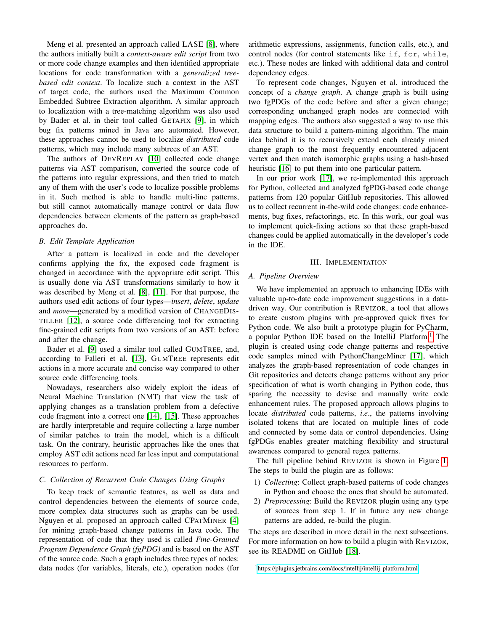Meng et al. presented an approach called LASE [\[8\]](#page-4-7), where the authors initially built a *context-aware edit script* from two or more code change examples and then identified appropriate locations for code transformation with a *generalized treebased edit context*. To localize such a context in the AST of target code, the authors used the Maximum Common Embedded Subtree Extraction algorithm. A similar approach to localization with a tree-matching algorithm was also used by Bader et al. in their tool called GETAFIX [\[9\]](#page-4-8), in which bug fix patterns mined in Java are automated. However, these approaches cannot be used to localize *distributed* code patterns, which may include many subtrees of an AST.

The authors of DEVREPLAY [\[10\]](#page-4-9) collected code change patterns via AST comparison, converted the source code of the patterns into regular expressions, and then tried to match any of them with the user's code to localize possible problems in it. Such method is able to handle multi-line patterns, but still cannot automatically manage control or data flow dependencies between elements of the pattern as graph-based approaches do.

# <span id="page-1-0"></span>*B. Edit Template Application*

After a pattern is localized in code and the developer confirms applying the fix, the exposed code fragment is changed in accordance with the appropriate edit script. This is usually done via AST transformations similarly to how it was described by Meng et al. [\[8\]](#page-4-7), [\[11\]](#page-4-10). For that purpose, the authors used edit actions of four types—*insert*, *delete*, *update* and *move*—generated by a modified version of CHANGEDIS-TILLER [\[12\]](#page-4-11), a source code differencing tool for extracting fine-grained edit scripts from two versions of an AST: before and after the change.

Bader et al. [\[9\]](#page-4-8) used a similar tool called GUMTREE, and, according to Falleri et al. [\[13\]](#page-4-12), GUMTREE represents edit actions in a more accurate and concise way compared to other source code differencing tools.

Nowadays, researchers also widely exploit the ideas of Neural Machine Translation (NMT) that view the task of applying changes as a translation problem from a defective code fragment into a correct one [\[14\]](#page-4-13), [\[15\]](#page-4-14). These approaches are hardly interpretable and require collecting a large number of similar patches to train the model, which is a difficult task. On the contrary, heuristic approaches like the ones that employ AST edit actions need far less input and computational resources to perform.

## <span id="page-1-1"></span>*C. Collection of Recurrent Code Changes Using Graphs*

To keep track of semantic features, as well as data and control dependencies between the elements of source code, more complex data structures such as graphs can be used. Nguyen et al. proposed an approach called CPATMINER [\[4\]](#page-4-3) for mining graph-based change patterns in Java code. The representation of code that they used is called *Fine-Grained Program Dependence Graph (fgPDG)* and is based on the AST of the source code. Such a graph includes three types of nodes: data nodes (for variables, literals, etc.), operation nodes (for

arithmetic expressions, assignments, function calls, etc.), and control nodes (for control statements like if, for, while, etc.). These nodes are linked with additional data and control dependency edges.

To represent code changes, Nguyen et al. introduced the concept of a *change graph*. A change graph is built using two fgPDGs of the code before and after a given change; corresponding unchanged graph nodes are connected with mapping edges. The authors also suggested a way to use this data structure to build a pattern-mining algorithm. The main idea behind it is to recursively extend each already mined change graph to the most frequently encountered adjacent vertex and then match isomorphic graphs using a hash-based heuristic [\[16\]](#page-4-15) to put them into one particular pattern.

In our prior work [\[17\]](#page-4-16), we re-implemented this approach for Python, collected and analyzed fgPDG-based code change patterns from 120 popular GitHub repositories. This allowed us to collect recurrent in-the-wild code changes: code enhancements, bug fixes, refactorings, etc. In this work, our goal was to implement quick-fixing actions so that these graph-based changes could be applied automatically in the developer's code in the IDE.

## III. IMPLEMENTATION

#### *A. Pipeline Overview*

We have implemented an approach to enhancing IDEs with valuable up-to-date code improvement suggestions in a datadriven way. Our contribution is REVIZOR, a tool that allows to create custom plugins with pre-approved quick fixes for Python code. We also built a prototype plugin for PyCharm, a popular Python IDE based on the IntelliJ Platform.<sup>[1](#page-1-2)</sup> The plugin is created using code change patterns and respective code samples mined with PythonChangeMiner [\[17\]](#page-4-16), which analyzes the graph-based representation of code changes in Git repositories and detects change patterns without any prior specification of what is worth changing in Python code, thus sparing the necessity to devise and manually write code enhancement rules. The proposed approach allows plugins to locate *distributed* code patterns, *i*.*e*., the patterns involving isolated tokens that are located on multiple lines of code and connected by some data or control dependencies. Using fgPDGs enables greater matching flexibility and structural awareness compared to general regex patterns.

The full pipeline behind REVIZOR is shown in Figure [1.](#page-2-0) The steps to build the plugin are as follows:

- 1) *Collecting*: Collect graph-based patterns of code changes in Python and choose the ones that should be automated.
- 2) *Preprocessing*: Build the REVIZOR plugin using any type of sources from step 1. If in future any new change patterns are added, re-build the plugin.

The steps are described in more detail in the next subsections. For more information on how to build a plugin with REVIZOR, see its README on GitHub [\[18\]](#page-4-17).

<span id="page-1-2"></span><sup>1</sup><https://plugins.jetbrains.com/docs/intellij/intellij-platform.html>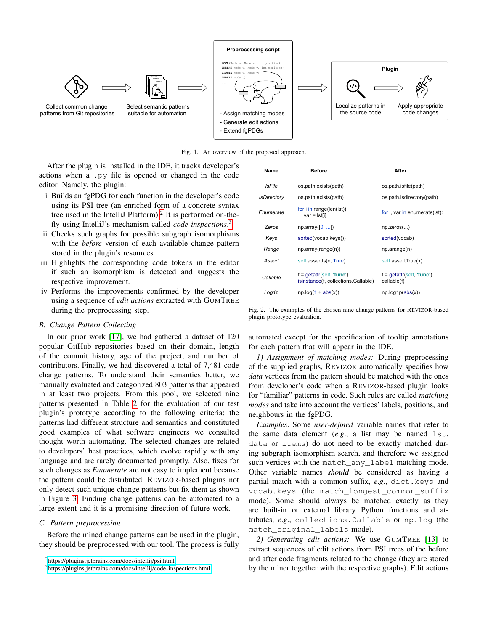

<span id="page-2-0"></span>Fig. 1. An overview of the proposed approach.

After the plugin is installed in the IDE, it tracks developer's actions when a .py file is opened or changed in the code editor. Namely, the plugin:

- i Builds an fgPDG for each function in the developer's code using its PSI tree (an enriched form of a concrete syntax tree used in the IntelliJ Platform).<sup>[2](#page-2-1)</sup> It is performed on-thefly using IntelliJ's mechanism called *code inspections*. [3](#page-2-2)
- ii Checks such graphs for possible subgraph isomorphisms with the *before* version of each available change pattern stored in the plugin's resources.
- iii Highlights the corresponding code tokens in the editor if such an isomorphism is detected and suggests the respective improvement.
- iv Performs the improvements confirmed by the developer using a sequence of *edit actions* extracted with GUMTREE during the preprocessing step.

# *B. Change Pattern Collecting*

In our prior work [\[17\]](#page-4-16), we had gathered a dataset of 120 popular GitHub repositories based on their domain, length of the commit history, age of the project, and number of contributors. Finally, we had discovered a total of 7,481 code change patterns. To understand their semantics better, we manually evaluated and categorized 803 patterns that appeared in at least two projects. From this pool, we selected nine patterns presented in Table [2](#page-2-3) for the evaluation of our test plugin's prototype according to the following criteria: the patterns had different structure and semantics and constituted good examples of what software engineers we consulted thought worth automating. The selected changes are related to developers' best practices, which evolve rapidly with any language and are rarely documented promptly. Also, fixes for such changes as *Enumerate* are not easy to implement because the pattern could be distributed. REVIZOR-based plugins not only detect such unique change patterns but fix them as shown in Figure [3.](#page-3-0) Finding change patterns can be automated to a large extent and it is a promising direction of future work.

#### *C. Pattern preprocessing*

Before the mined change patterns can be used in the plugin, they should be preprocessed with our tool. The process is fully

| Name               | <b>Before</b>                                                      | After                                                    |
|--------------------|--------------------------------------------------------------------|----------------------------------------------------------|
| IsFile             | os.path.exists(path)                                               | os.path.isfile(path)                                     |
| <b>IsDirectory</b> | os.path.exists(path)                                               | os.path.isdirectory(path)                                |
| Enumerate          | for $i$ in range( $len(lst)$ ):<br>var = Ist[i]                    | for i, var in enumerate(lst):                            |
| Zeros              | np.array([0, ])                                                    | $np.$ zeros $()$                                         |
| Keys               | sorted(vocab.keys())                                               | sorted(vocab)                                            |
| Range              | np.array(range(n))                                                 | np.arange(n)                                             |
| Assert             | self assertls(x, True)                                             | self.assertTrue(x)                                       |
| Callable           | $f =$ qetattr(self, 'func')<br>isinstance(f, collections.Callable) | $f = \text{qetattr}(\text{self}, 'func')$<br>callable(f) |
| Log1p              | $np.log(1 + abs(x))$                                               | np.log1p(abs(x))                                         |

<span id="page-2-3"></span>Fig. 2. The examples of the chosen nine change patterns for REVIZOR-based plugin prototype evaluation.

automated except for the specification of tooltip annotations for each pattern that will appear in the IDE.

*1) Assignment of matching modes:* During preprocessing of the supplied graphs, REVIZOR automatically specifies how *data* vertices from the pattern should be matched with the ones from developer's code when a REVIZOR-based plugin looks for "familiar" patterns in code. Such rules are called *matching modes* and take into account the vertices' labels, positions, and neighbours in the fgPDG.

*Examples*. Some *user-defined* variable names that refer to the same data element (*e*.*g*., a list may be named lst, data or items) do not need to be exactly matched during subgraph isomorphism search, and therefore we assigned such vertices with the match any label matching mode. Other variable names *should* be considered as having a partial match with a common suffix, *e*.*g*., dict.keys and vocab.keys (the match\_longest\_common\_suffix mode). Some should always be matched exactly as they are built-in or external library Python functions and attributes, *e*.*g*., collections.Callable or np.log (the match\_original\_labels mode).

*2) Generating edit actions:* We use GUMTREE [\[13\]](#page-4-12) to extract sequences of edit actions from PSI trees of the before and after code fragments related to the change (they are stored by the miner together with the respective graphs). Edit actions

<span id="page-2-1"></span><sup>2</sup><https://plugins.jetbrains.com/docs/intellij/psi.html>

<span id="page-2-2"></span><sup>3</sup><https://plugins.jetbrains.com/docs/intellij/code-inspections.html>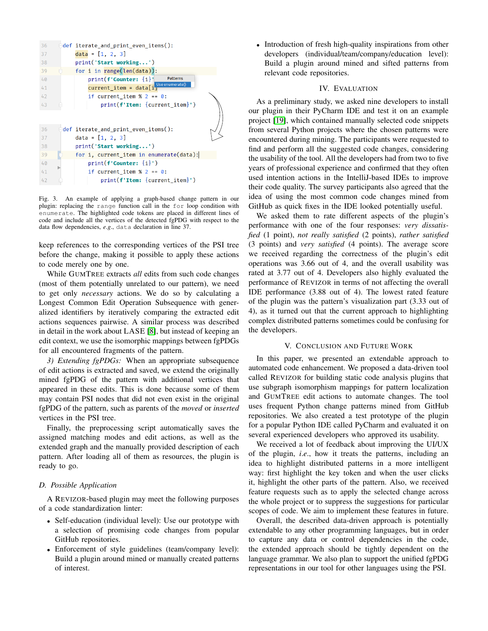

<span id="page-3-0"></span>Fig. 3. An example of applying a graph-based change pattern in our plugin: replacing the range function call in the for loop condition with enumerate. The highlighted code tokens are placed in different lines of code and include all the vertices of the detected fgPDG with respect to the data flow dependencies, *e*.*g*., data declaration in line 37.

keep references to the corresponding vertices of the PSI tree before the change, making it possible to apply these actions to code merely one by one.

While GUMTREE extracts *all* edits from such code changes (most of them potentially unrelated to our pattern), we need to get only *necessary* actions. We do so by calculating a Longest Common Edit Operation Subsequence with generalized identifiers by iteratively comparing the extracted edit actions sequences pairwise. A similar process was described in detail in the work about LASE [\[8\]](#page-4-7), but instead of keeping an edit context, we use the isomorphic mappings between fgPDGs for all encountered fragments of the pattern.

*3) Extending fgPDGs:* When an appropriate subsequence of edit actions is extracted and saved, we extend the originally mined fgPDG of the pattern with additional vertices that appeared in these edits. This is done because some of them may contain PSI nodes that did not even exist in the original fgPDG of the pattern, such as parents of the *moved* or *inserted* vertices in the PSI tree.

Finally, the preprocessing script automatically saves the assigned matching modes and edit actions, as well as the extended graph and the manually provided description of each pattern. After loading all of them as resources, the plugin is ready to go.

# *D. Possible Application*

A REVIZOR-based plugin may meet the following purposes of a code standardization linter:

- Self-education (individual level): Use our prototype with a selection of promising code changes from popular GitHub repositories.
- Enforcement of style guidelines (team/company level): Build a plugin around mined or manually created patterns of interest.

• Introduction of fresh high-quality inspirations from other developers (individual/team/company/education level): Build a plugin around mined and sifted patterns from relevant code repositories.

#### IV. EVALUATION

As a preliminary study, we asked nine developers to install our plugin in their PyCharm IDE and test it on an example project [\[19\]](#page-4-18), which contained manually selected code snippets from several Python projects where the chosen patterns were encountered during mining. The participants were requested to find and perform all the suggested code changes, considering the usability of the tool. All the developers had from two to five years of professional experience and confirmed that they often used intention actions in the IntelliJ-based IDEs to improve their code quality. The survey participants also agreed that the idea of using the most common code changes mined from GitHub as quick fixes in the IDE looked potentially useful.

We asked them to rate different aspects of the plugin's performance with one of the four responses: *very dissatisfied* (1 point), *not really satisfied* (2 points), *rather satisfied* (3 points) and *very satisfied* (4 points). The average score we received regarding the correctness of the plugin's edit operations was 3.66 out of 4, and the overall usability was rated at 3.77 out of 4. Developers also highly evaluated the performance of REVIZOR in terms of not affecting the overall IDE performance (3.88 out of 4). The lowest rated feature of the plugin was the pattern's visualization part (3.33 out of 4), as it turned out that the current approach to highlighting complex distributed patterns sometimes could be confusing for the developers.

#### V. CONCLUSION AND FUTURE WORK

In this paper, we presented an extendable approach to automated code enhancement. We proposed a data-driven tool called REVIZOR for building static code analysis plugins that use subgraph isomorphism mappings for pattern localization and GUMTREE edit actions to automate changes. The tool uses frequent Python change patterns mined from GitHub repositories. We also created a test prototype of the plugin for a popular Python IDE called PyCharm and evaluated it on several experienced developers who approved its usability.

We received a lot of feedback about improving the UI/UX of the plugin, *i*.*e*., how it treats the patterns, including an idea to highlight distributed patterns in a more intelligent way: first highlight the key token and when the user clicks it, highlight the other parts of the pattern. Also, we received feature requests such as to apply the selected change across the whole project or to suppress the suggestions for particular scopes of code. We aim to implement these features in future.

Overall, the described data-driven approach is potentially extendable to any other programming languages, but in order to capture any data or control dependencies in the code, the extended approach should be tightly dependent on the language grammar. We also plan to support the unified fgPDG representations in our tool for other languages using the PSI.